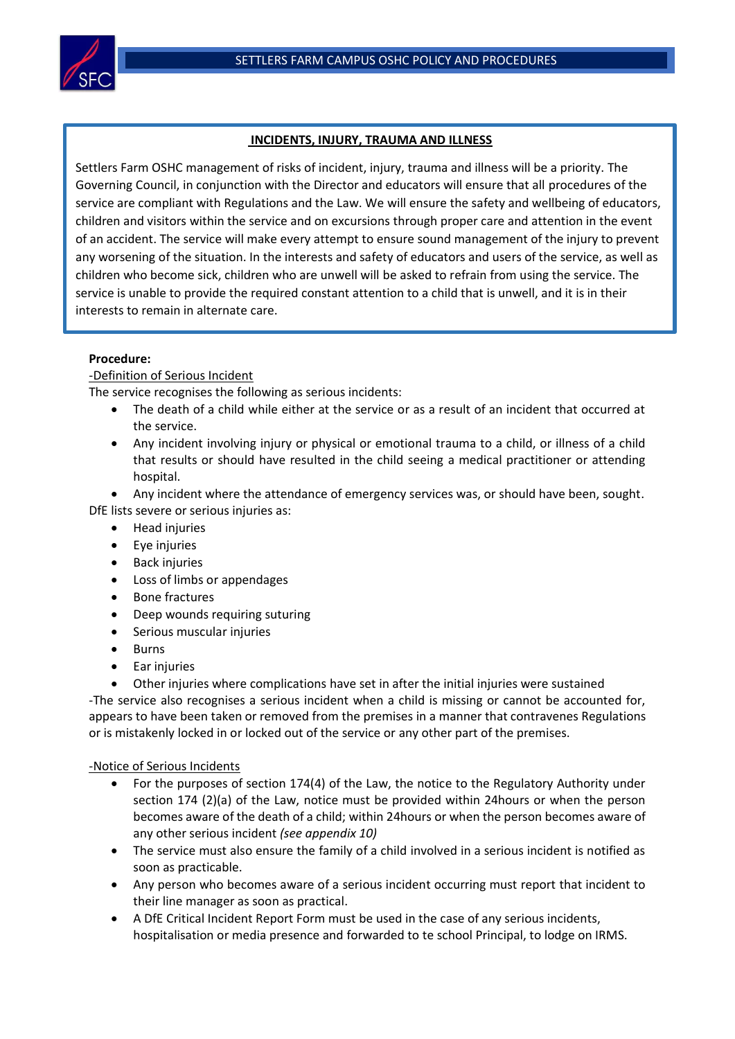

# **INCIDENTS, INJURY, TRAUMA AND ILLNESS**

Settlers Farm OSHC management of risks of incident, injury, trauma and illness will be a priority. The Governing Council, in conjunction with the Director and educators will ensure that all procedures of the service are compliant with Regulations and the Law. We will ensure the safety and wellbeing of educators, children and visitors within the service and on excursions through proper care and attention in the event of an accident. The service will make every attempt to ensure sound management of the injury to prevent any worsening of the situation. In the interests and safety of educators and users of the service, as well as children who become sick, children who are unwell will be asked to refrain from using the service. The service is unable to provide the required constant attention to a child that is unwell, and it is in their interests to remain in alternate care.

# **Procedure:**

# -Definition of Serious Incident

The service recognises the following as serious incidents:

- The death of a child while either at the service or as a result of an incident that occurred at the service.
- Any incident involving injury or physical or emotional trauma to a child, or illness of a child that results or should have resulted in the child seeing a medical practitioner or attending hospital.
- Any incident where the attendance of emergency services was, or should have been, sought.

DfE lists severe or serious injuries as:

- Head injuries
- Eye injuries
- Back injuries
- Loss of limbs or appendages
- Bone fractures
- Deep wounds requiring suturing
- Serious muscular injuries
- Burns
- Ear injuries
- Other injuries where complications have set in after the initial injuries were sustained

-The service also recognises a serious incident when a child is missing or cannot be accounted for, appears to have been taken or removed from the premises in a manner that contravenes Regulations or is mistakenly locked in or locked out of the service or any other part of the premises.

## -Notice of Serious Incidents

- For the purposes of section 174(4) of the Law, the notice to the Regulatory Authority under section 174 (2)(a) of the Law, notice must be provided within 24hours or when the person becomes aware of the death of a child; within 24hours or when the person becomes aware of any other serious incident *(see appendix 10)*
- The service must also ensure the family of a child involved in a serious incident is notified as soon as practicable.
- Any person who becomes aware of a serious incident occurring must report that incident to their line manager as soon as practical.
- A DfE Critical Incident Report Form must be used in the case of any serious incidents, hospitalisation or media presence and forwarded to te school Principal, to lodge on IRMS.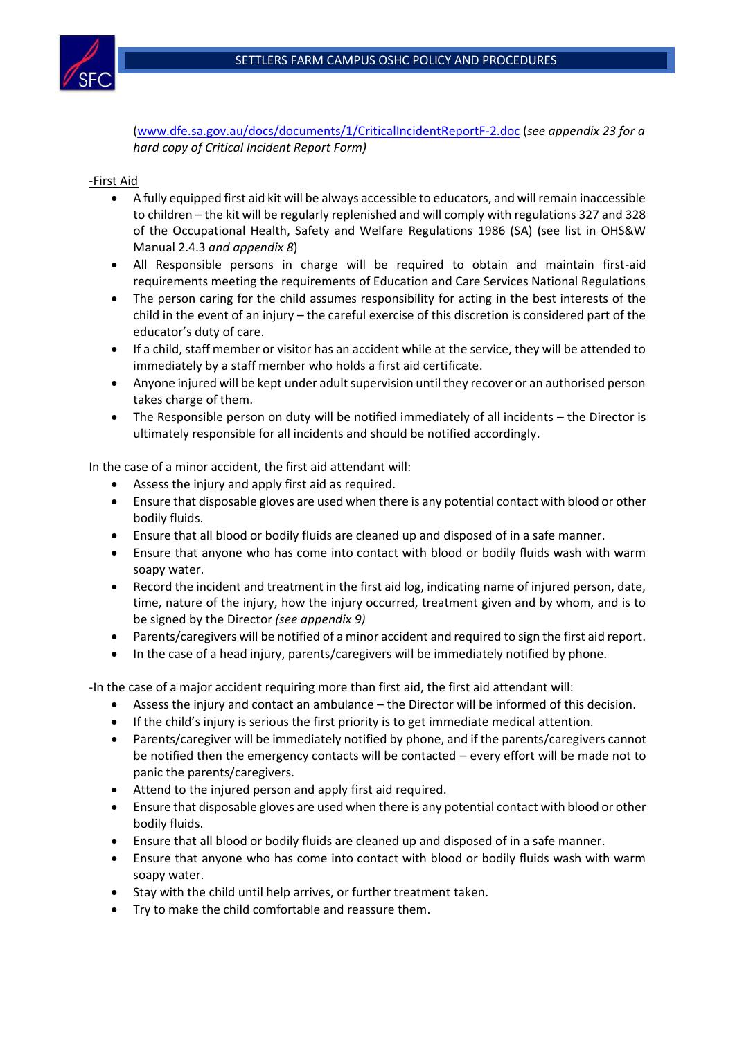

[\(www.dfe.sa.gov.au/docs/documents/1/CriticalIncidentReportF-2.doc](http://www.dfe.sa.gov.au/docs/documents/1/CriticalIncidentReportF-2.doc) (*see appendix 23 for a hard copy of Critical Incident Report Form)*

# -First Aid

- A fully equipped first aid kit will be always accessible to educators, and will remain inaccessible to children – the kit will be regularly replenished and will comply with regulations 327 and 328 of the Occupational Health, Safety and Welfare Regulations 1986 (SA) (see list in OHS&W Manual 2.4.3 *and appendix 8*)
- All Responsible persons in charge will be required to obtain and maintain first-aid requirements meeting the requirements of Education and Care Services National Regulations
- The person caring for the child assumes responsibility for acting in the best interests of the child in the event of an injury – the careful exercise of this discretion is considered part of the educator's duty of care.
- If a child, staff member or visitor has an accident while at the service, they will be attended to immediately by a staff member who holds a first aid certificate.
- Anyone injured will be kept under adult supervision until they recover or an authorised person takes charge of them.
- The Responsible person on duty will be notified immediately of all incidents the Director is ultimately responsible for all incidents and should be notified accordingly.

In the case of a minor accident, the first aid attendant will:

- Assess the injury and apply first aid as required.
- Ensure that disposable gloves are used when there is any potential contact with blood or other bodily fluids.
- Ensure that all blood or bodily fluids are cleaned up and disposed of in a safe manner.
- Ensure that anyone who has come into contact with blood or bodily fluids wash with warm soapy water.
- Record the incident and treatment in the first aid log, indicating name of injured person, date, time, nature of the injury, how the injury occurred, treatment given and by whom, and is to be signed by the Director *(see appendix 9)*
- Parents/caregivers will be notified of a minor accident and required to sign the first aid report.
- In the case of a head injury, parents/caregivers will be immediately notified by phone.

-In the case of a major accident requiring more than first aid, the first aid attendant will:

- Assess the injury and contact an ambulance the Director will be informed of this decision.
- If the child's injury is serious the first priority is to get immediate medical attention.
- Parents/caregiver will be immediately notified by phone, and if the parents/caregivers cannot be notified then the emergency contacts will be contacted – every effort will be made not to panic the parents/caregivers.
- Attend to the injured person and apply first aid required.
- Ensure that disposable gloves are used when there is any potential contact with blood or other bodily fluids.
- Ensure that all blood or bodily fluids are cleaned up and disposed of in a safe manner.
- Ensure that anyone who has come into contact with blood or bodily fluids wash with warm soapy water.
- Stay with the child until help arrives, or further treatment taken.
- Try to make the child comfortable and reassure them.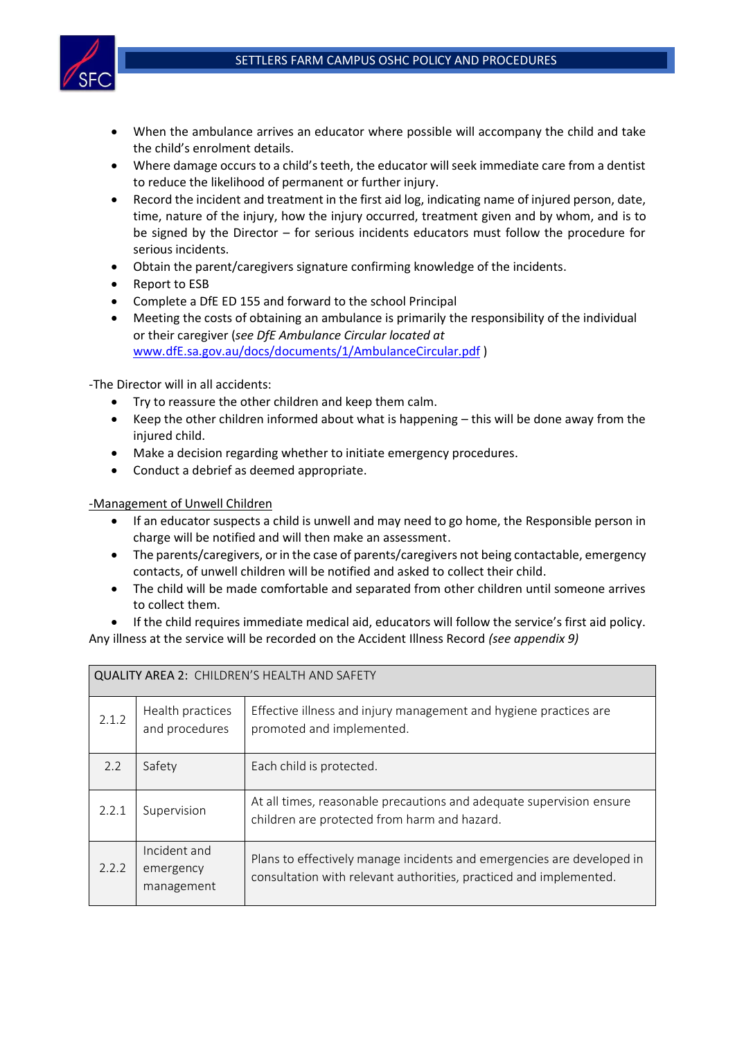

- When the ambulance arrives an educator where possible will accompany the child and take the child's enrolment details.
- Where damage occurs to a child's teeth, the educator will seek immediate care from a dentist to reduce the likelihood of permanent or further injury.
- Record the incident and treatment in the first aid log, indicating name of injured person, date, time, nature of the injury, how the injury occurred, treatment given and by whom, and is to be signed by the Director – for serious incidents educators must follow the procedure for serious incidents.
- Obtain the parent/caregivers signature confirming knowledge of the incidents.
- Report to ESB
- Complete a DfE ED 155 and forward to the school Principal
- Meeting the costs of obtaining an ambulance is primarily the responsibility of the individual or their caregiver (*see DfE Ambulance Circular located at*  [www.dfE.sa.gov.au/docs/documents/1/AmbulanceCircular.pdf](http://www.dfe.sa.gov.au/docs/documents/1/AmbulanceCircular.pdf) )

-The Director will in all accidents:

- Try to reassure the other children and keep them calm.
- Keep the other children informed about what is happening this will be done away from the injured child.
- Make a decision regarding whether to initiate emergency procedures.
- Conduct a debrief as deemed appropriate.

-Management of Unwell Children

- If an educator suspects a child is unwell and may need to go home, the Responsible person in charge will be notified and will then make an assessment.
- The parents/caregivers, or in the case of parents/caregivers not being contactable, emergency contacts, of unwell children will be notified and asked to collect their child.
- The child will be made comfortable and separated from other children until someone arrives to collect them.
- If the child requires immediate medical aid, educators will follow the service's first aid policy. Any illness at the service will be recorded on the Accident Illness Record *(see appendix 9)*

| QUALITY AREA 2: CHILDREN'S HEALTH AND SAFETY |                                         |                                                                                                                                              |  |  |  |
|----------------------------------------------|-----------------------------------------|----------------------------------------------------------------------------------------------------------------------------------------------|--|--|--|
| 2.1.2                                        | Health practices<br>and procedures      | Effective illness and injury management and hygiene practices are<br>promoted and implemented.                                               |  |  |  |
| 2.2                                          | Safety                                  | Each child is protected.                                                                                                                     |  |  |  |
| 2.2.1                                        | Supervision                             | At all times, reasonable precautions and adequate supervision ensure<br>children are protected from harm and hazard.                         |  |  |  |
| 2.2.2                                        | Incident and<br>emergency<br>management | Plans to effectively manage incidents and emergencies are developed in<br>consultation with relevant authorities, practiced and implemented. |  |  |  |